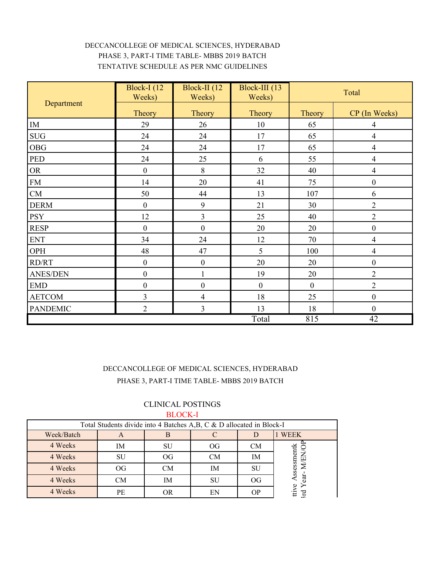## DECCANCOLLEGE OF MEDICAL SCIENCES, HYDERABAD PHASE 3, PART-I TIME TABLE- MBBS 2019 BATCH TENTATIVE SCHEDULE AS PER NMC GUIDELINES

|                             | <b>Block-I</b> (12)<br>Weeks) | Block-II (12<br>Weeks) | Block-III (13)<br>Weeks) |                | Total            |
|-----------------------------|-------------------------------|------------------------|--------------------------|----------------|------------------|
| Department                  | Theory                        | Theory                 | Theory                   | Theory         | CP (In Weeks)    |
| IM                          | 29                            | 26                     | 10                       | 65             | 4                |
| $\rm SUG$                   | 24                            | 24                     | 17                       | 65             | $\overline{4}$   |
| <b>OBG</b>                  | 24                            | 24                     | 17                       | 65             | 4                |
| PED                         | 24                            | 25                     | 6                        | 55             | $\overline{4}$   |
| ${\sf OR}$                  | $\boldsymbol{0}$              | $8\,$                  | 32                       | 40             | 4                |
| ${\rm FM}$                  | 14                            | 20                     | 41                       | 75             | $\boldsymbol{0}$ |
| ${\rm CM}$                  | 50                            | 44                     | 13                       | 107            | 6                |
| <b>DERM</b>                 | $\boldsymbol{0}$              | 9                      | 21                       | 30             | $\overline{2}$   |
| <b>PSY</b>                  | 12                            | $\mathfrak{Z}$         | 25                       | 40             | $\overline{2}$   |
| <b>RESP</b>                 | $\boldsymbol{0}$              | $\boldsymbol{0}$       | 20                       | 20             | $\boldsymbol{0}$ |
| ${\rm ENT}$                 | 34                            | 24                     | 12                       | 70             | 4                |
| OPH                         | 48                            | 47                     | 5                        | 100            | $\overline{4}$   |
| RD/RT                       | $\boldsymbol{0}$              | $\boldsymbol{0}$       | 20                       | 20             | $\boldsymbol{0}$ |
| <b>ANES/DEN</b>             | $\boldsymbol{0}$              | $\mathbf 1$            | 19                       | 20             | $\overline{2}$   |
| $\ensuremath{\mathrm{EMD}}$ | $\boldsymbol{0}$              | $\boldsymbol{0}$       | $\boldsymbol{0}$         | $\overline{0}$ | $\overline{2}$   |
| <b>AETCOM</b>               | 3                             | $\overline{4}$         | 18                       | 25             | $\boldsymbol{0}$ |
| <b>PANDEMIC</b>             | $\overline{2}$                | $\mathfrak{Z}$         | 13                       | 18             | $\boldsymbol{0}$ |
|                             |                               | Total                  | 815                      | 42             |                  |

## DECCANCOLLEGE OF MEDICAL SCIENCES, HYDERABAD PHASE 3, PART-I TIME TABLE- MBBS 2019 BATCH

## CLINICAL POSTINGS BLOCK-I

| Total Students divide into 4 Batches A,B, C & D allocated in Block-I |           |           |           |           |             |  |
|----------------------------------------------------------------------|-----------|-----------|-----------|-----------|-------------|--|
| Week/Batch                                                           | A         | В         |           |           | <b>WEEK</b> |  |
| 4 Weeks                                                              | IM        | SU        | OG        | <b>CM</b> |             |  |
| 4 Weeks                                                              | SU        | <b>OG</b> | <b>CM</b> | IM        |             |  |
| 4 Weeks                                                              | <b>OG</b> | CМ        | IM        | SU        | Assessmentk |  |
| 4 Weeks                                                              | <b>CM</b> | IΜ        | SU        | OG        | Бe          |  |
| 4 Weeks                                                              | PЕ        | OR        | ЕN        |           | ttive<br>E  |  |